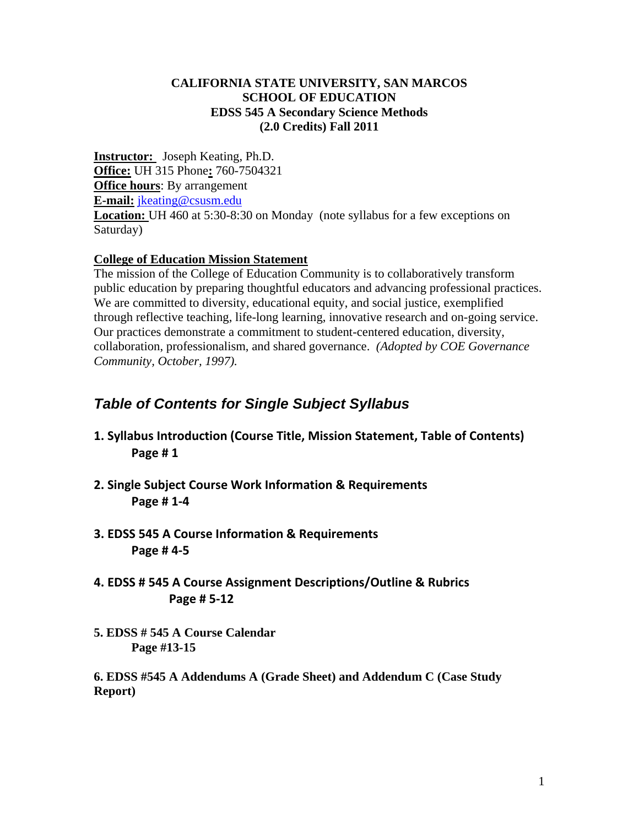## **CALIFORNIA STATE UNIVERSITY, SAN MARCOS SCHOOL OF EDUCATION EDSS 545 A Secondary Science Methods (2.0 Credits) Fall 2011**

**Instructor:** Joseph Keating, Ph.D. **Office:** UH 315 Phone**:** 760-7504321 **Office hours**: By arrangement **E-mail:** jkeating@csusm.edu **Location:** UH 460 at 5:30-8:30 on Monday (note syllabus for a few exceptions on Saturday)

## **College of Education Mission Statement**

The mission of the College of Education Community is to collaboratively transform public education by preparing thoughtful educators and advancing professional practices. We are committed to diversity, educational equity, and social justice, exemplified through reflective teaching, life-long learning, innovative research and on-going service. Our practices demonstrate a commitment to student-centered education, diversity, collaboration, professionalism, and shared governance. *(Adopted by COE Governance Community, October, 1997).* 

# *Table of Contents for Single Subject Syllabus*

- **1. Syllabus Introduction (Course Title, Mission Statement, Table of Contents) Page # 1**
- **2. Single Subject Course Work Information & Requirements Page # 1‐4**
- **3. EDSS 545 A Course Information & Requirements Page # 4‐5**
- **4. EDSS # 545 A Course Assignment Descriptions/Outline & Rubrics Page # 5‐12**
- **5. EDSS # 545 A Course Calendar Page #13-15**

**6. EDSS #545 A Addendums A (Grade Sheet) and Addendum C (Case Study Report)**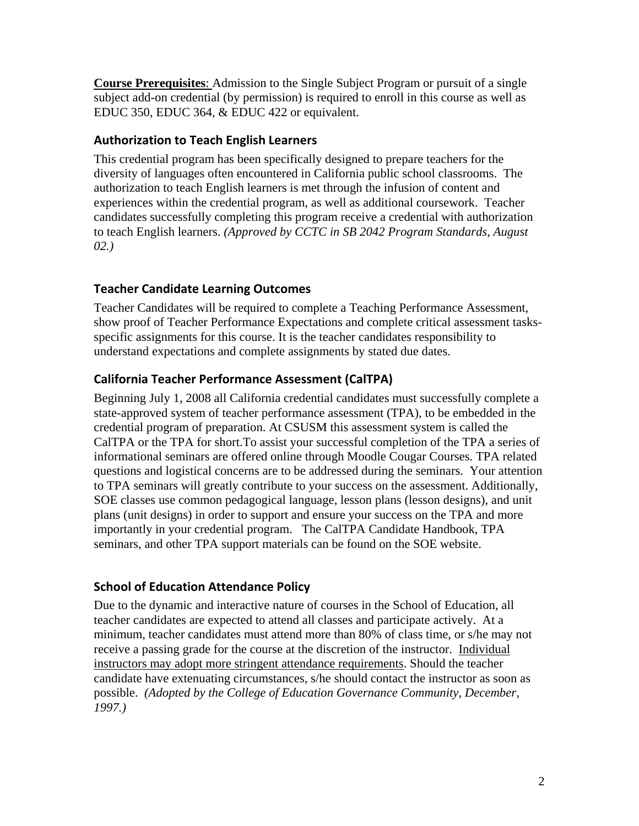**Course Prerequisites**: Admission to the Single Subject Program or pursuit of a single subject add-on credential (by permission) is required to enroll in this course as well as EDUC 350, EDUC 364, & EDUC 422 or equivalent.

# **Authorization to Teach English Learners**

This credential program has been specifically designed to prepare teachers for the diversity of languages often encountered in California public school classrooms. The authorization to teach English learners is met through the infusion of content and experiences within the credential program, as well as additional coursework. Teacher candidates successfully completing this program receive a credential with authorization to teach English learners. *(Approved by CCTC in SB 2042 Program Standards, August 02.)* 

# **Teacher Candidate Learning Outcomes**

Teacher Candidates will be required to complete a Teaching Performance Assessment, show proof of Teacher Performance Expectations and complete critical assessment tasksspecific assignments for this course. It is the teacher candidates responsibility to understand expectations and complete assignments by stated due dates.

# **California Teacher Performance Assessment (CalTPA)**

Beginning July 1, 2008 all California credential candidates must successfully complete a state-approved system of teacher performance assessment (TPA), to be embedded in the credential program of preparation. At CSUSM this assessment system is called the CalTPA or the TPA for short.To assist your successful completion of the TPA a series of informational seminars are offered online through Moodle Cougar Courses. TPA related questions and logistical concerns are to be addressed during the seminars. Your attention to TPA seminars will greatly contribute to your success on the assessment. Additionally, SOE classes use common pedagogical language, lesson plans (lesson designs), and unit plans (unit designs) in order to support and ensure your success on the TPA and more importantly in your credential program. The CalTPA Candidate Handbook, TPA seminars, and other TPA support materials can be found on the SOE website.

# **School of Education Attendance Policy**

 *1997.)* Due to the dynamic and interactive nature of courses in the School of Education, all teacher candidates are expected to attend all classes and participate actively. At a minimum, teacher candidates must attend more than 80% of class time, or s/he may not receive a passing grade for the course at the discretion of the instructor. Individual instructors may adopt more stringent attendance requirements. Should the teacher candidate have extenuating circumstances, s/he should contact the instructor as soon as possible. *(Adopted by the College of Education Governance Community, December,*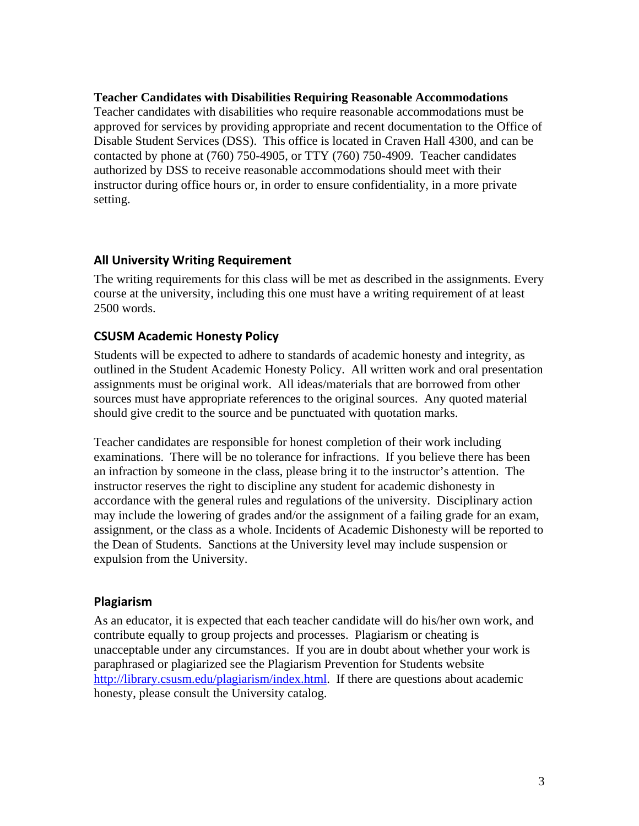#### **Teacher Candidates with Disabilities Requiring Reasonable Accommodations**

Teacher candidates with disabilities who require reasonable accommodations must be approved for services by providing appropriate and recent documentation to the Office of Disable Student Services (DSS). This office is located in Craven Hall 4300, and can be contacted by phone at (760) 750-4905, or TTY (760) 750-4909. Teacher candidates authorized by DSS to receive reasonable accommodations should meet with their instructor during office hours or, in order to ensure confidentiality, in a more private setting.

# **All University Writing Requirement**

The writing requirements for this class will be met as described in the assignments. Every course at the university, including this one must have a writing requirement of at least 2500 words.

# **CSUSM Academic Honesty Policy**

Students will be expected to adhere to standards of academic honesty and integrity, as outlined in the Student Academic Honesty Policy. All written work and oral presentation assignments must be original work. All ideas/materials that are borrowed from other sources must have appropriate references to the original sources. Any quoted material should give credit to the source and be punctuated with quotation marks.

Teacher candidates are responsible for honest completion of their work including examinations. There will be no tolerance for infractions. If you believe there has been an infraction by someone in the class, please bring it to the instructor's attention. The instructor reserves the right to discipline any student for academic dishonesty in accordance with the general rules and regulations of the university. Disciplinary action may include the lowering of grades and/or the assignment of a failing grade for an exam, assignment, or the class as a whole. Incidents of Academic Dishonesty will be reported to the Dean of Students. Sanctions at the University level may include suspension or expulsion from the University.

## **Plagiarism**

As an educator, it is expected that each teacher candidate will do his/her own work, and contribute equally to group projects and processes. Plagiarism or cheating is unacceptable under any circumstances. If you are in doubt about whether your work is paraphrased or plagiarized see the Plagiarism Prevention for Students website http://library.csusm.edu/plagiarism/index.html. If there are questions about academic honesty, please consult the University catalog.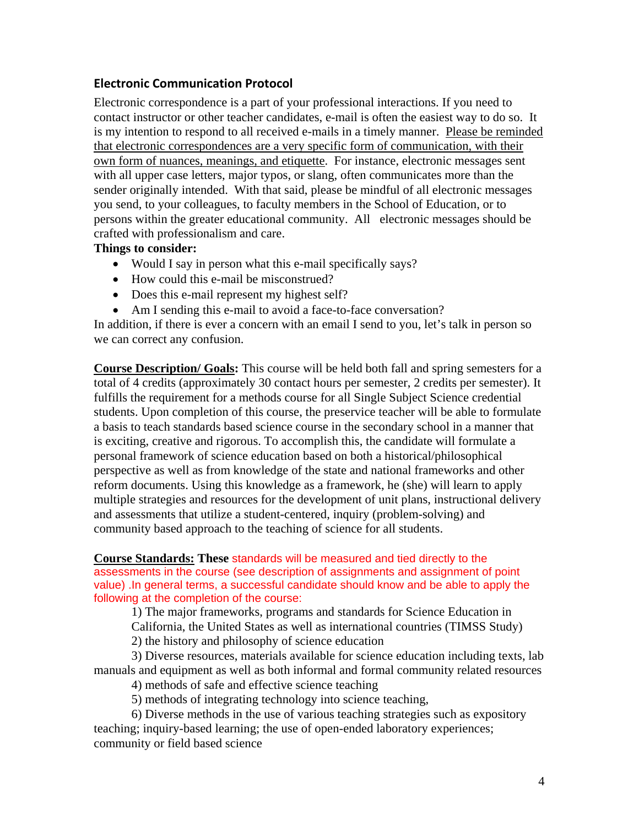# **Electronic Communication Protocol**

Electronic correspondence is a part of your professional interactions. If you need to contact instructor or other teacher candidates, e-mail is often the easiest way to do so. It is my intention to respond to all received e-mails in a timely manner. Please be reminded that electronic correspondences are a very specific form of communication, with their own form of nuances, meanings, and etiquette. For instance, electronic messages sent with all upper case letters, major typos, or slang, often communicates more than the sender originally intended. With that said, please be mindful of all electronic messages you send, to your colleagues, to faculty members in the School of Education, or to persons within the greater educational community. All electronic messages should be crafted with professionalism and care.

#### **Things to consider:**

- Would I say in person what this e-mail specifically says?
- How could this e-mail be misconstrued?
- Does this e-mail represent my highest self?
- Am I sending this e-mail to avoid a face-to-face conversation?

In addition, if there is ever a concern with an email I send to you, let's talk in person so we can correct any confusion.

**Course Description/ Goals:** This course will be held both fall and spring semesters for a total of 4 credits (approximately 30 contact hours per semester, 2 credits per semester). It fulfills the requirement for a methods course for all Single Subject Science credential students. Upon completion of this course, the preservice teacher will be able to formulate a basis to teach standards based science course in the secondary school in a manner that is exciting, creative and rigorous. To accomplish this, the candidate will formulate a personal framework of science education based on both a historical/philosophical perspective as well as from knowledge of the state and national frameworks and other reform documents. Using this knowledge as a framework, he (she) will learn to apply multiple strategies and resources for the development of unit plans, instructional delivery and assessments that utilize a student-centered, inquiry (problem-solving) and community based approach to the teaching of science for all students.

#### **Course Standards: These** standards will be measured and tied directly to the assessments in the course (see description of assignments and assignment of point value) .In general terms, a successful candidate should know and be able to apply the following at the completion of the course:

1) The major frameworks, programs and standards for Science Education in California, the United States as well as international countries (TIMSS Study)

2) the history and philosophy of science education

3) Diverse resources, materials available for science education including texts, lab manuals and equipment as well as both informal and formal community related resources

4) methods of safe and effective science teaching

5) methods of integrating technology into science teaching,

6) Diverse methods in the use of various teaching strategies such as expository teaching; inquiry-based learning; the use of open-ended laboratory experiences; community or field based science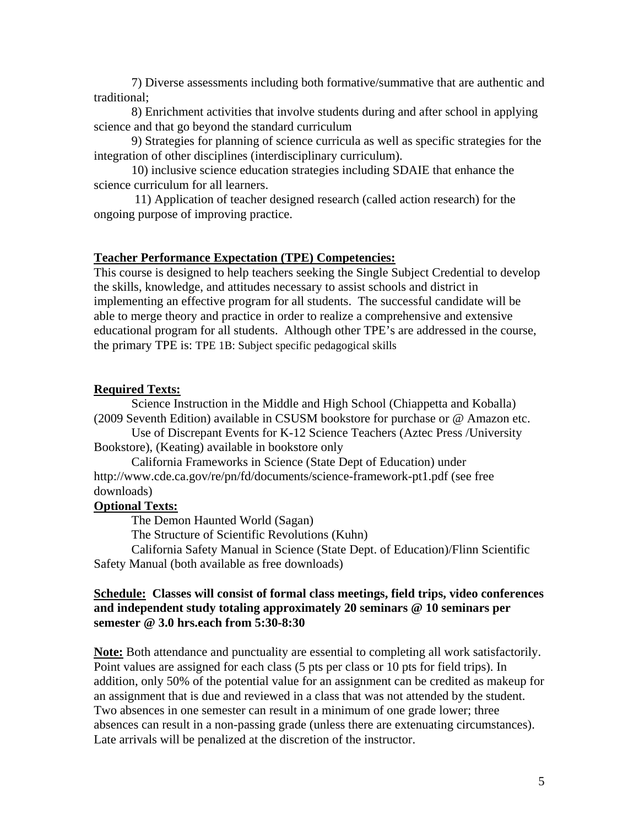7) Diverse assessments including both formative/summative that are authentic and traditional;

8) Enrichment activities that involve students during and after school in applying science and that go beyond the standard curriculum

9) Strategies for planning of science curricula as well as specific strategies for the integration of other disciplines (interdisciplinary curriculum).

10) inclusive science education strategies including SDAIE that enhance the science curriculum for all learners.

11) Application of teacher designed research (called action research) for the ongoing purpose of improving practice.

#### **Teacher Performance Expectation (TPE) Competencies:**

This course is designed to help teachers seeking the Single Subject Credential to develop the skills, knowledge, and attitudes necessary to assist schools and district in implementing an effective program for all students. The successful candidate will be able to merge theory and practice in order to realize a comprehensive and extensive educational program for all students. Although other TPE's are addressed in the course, the primary TPE is: TPE 1B: Subject specific pedagogical skills

#### **Required Texts:**

Science Instruction in the Middle and High School (Chiappetta and Koballa) (2009 Seventh Edition) available in CSUSM bookstore for purchase or @ Amazon etc.

Use of Discrepant Events for K-12 Science Teachers (Aztec Press /University Bookstore), (Keating) available in bookstore only

California Frameworks in Science (State Dept of Education) under http://www.cde.ca.gov/re/pn/fd/documents/science-framework-pt1.pdf (see free downloads)

## **Optional Texts:**

The Demon Haunted World (Sagan)

The Structure of Scientific Revolutions (Kuhn)

California Safety Manual in Science (State Dept. of Education)/Flinn Scientific Safety Manual (both available as free downloads)

## **Schedule: Classes will consist of formal class meetings, field trips, video conferences and independent study totaling approximately 20 seminars @ 10 seminars per semester @ 3.0 hrs.each from 5:30-8:30**

**Note:** Both attendance and punctuality are essential to completing all work satisfactorily. Point values are assigned for each class (5 pts per class or 10 pts for field trips). In addition, only 50% of the potential value for an assignment can be credited as makeup for an assignment that is due and reviewed in a class that was not attended by the student. Two absences in one semester can result in a minimum of one grade lower; three absences can result in a non-passing grade (unless there are extenuating circumstances). Late arrivals will be penalized at the discretion of the instructor.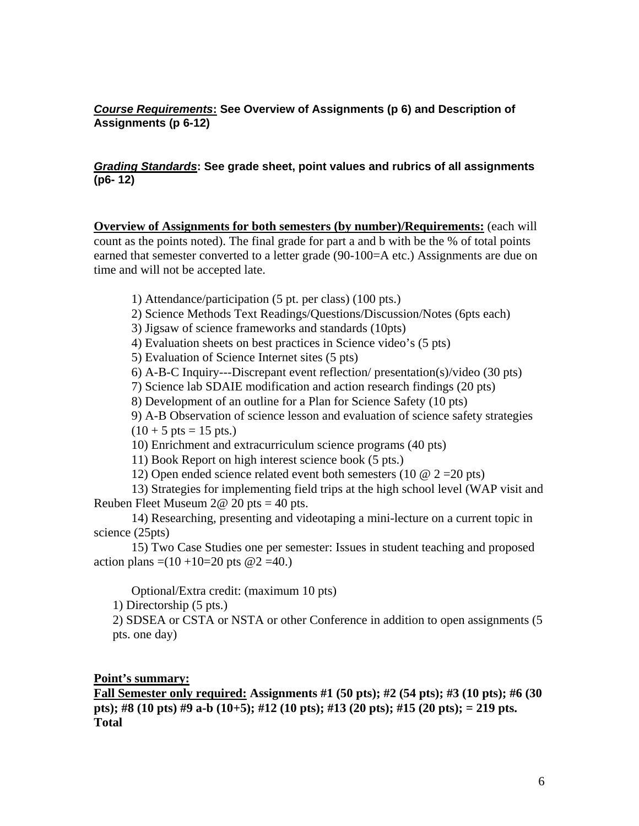## *Course Requirements***: See Overview of Assignments (p 6) and Description of Assignments (p 6-12)**

### *Grading Standards***: See grade sheet, point values and rubrics of all assignments (p6- 12)**

**Overview of Assignments for both semesters (by number)/Requirements:** (each will count as the points noted). The final grade for part a and b with be the % of total points earned that semester converted to a letter grade (90-100=A etc.) Assignments are due on time and will not be accepted late.

- 1) Attendance/participation (5 pt. per class) (100 pts.)
- 2) Science Methods Text Readings/Questions/Discussion/Notes (6pts each)
- 3) Jigsaw of science frameworks and standards (10pts)
- 4) Evaluation sheets on best practices in Science video's (5 pts)
- 5) Evaluation of Science Internet sites (5 pts)
- 6) A-B-C Inquiry---Discrepant event reflection/ presentation(s)/video (30 pts)
- 7) Science lab SDAIE modification and action research findings (20 pts)
- 8) Development of an outline for a Plan for Science Safety (10 pts)
- 9) A-B Observation of science lesson and evaluation of science safety strategies

 $(10 + 5 \text{ pts} = 15 \text{ pts.})$ 

10) Enrichment and extracurriculum science programs (40 pts)

11) Book Report on high interest science book (5 pts.)

12) Open ended science related event both semesters (10  $\omega$  2 = 20 pts)

13) Strategies for implementing field trips at the high school level (WAP visit and Reuben Fleet Museum  $2@ 20$  pts = 40 pts.

14) Researching, presenting and videotaping a mini-lecture on a current topic in science (25pts)

15) Two Case Studies one per semester: Issues in student teaching and proposed action plans  $=(10 + 10=20)$  pts  $@2 = 40$ .)

Optional/Extra credit: (maximum 10 pts)

1) Directorship (5 pts.)

2) SDSEA or CSTA or NSTA or other Conference in addition to open assignments (5 pts. one day)

#### **Point's summary:**

**Fall Semester only required: Assignments #1 (50 pts); #2 (54 pts); #3 (10 pts); #6 (30 pts); #8 (10 pts) #9 a-b (10+5); #12 (10 pts); #13 (20 pts); #15 (20 pts); = 219 pts. Total**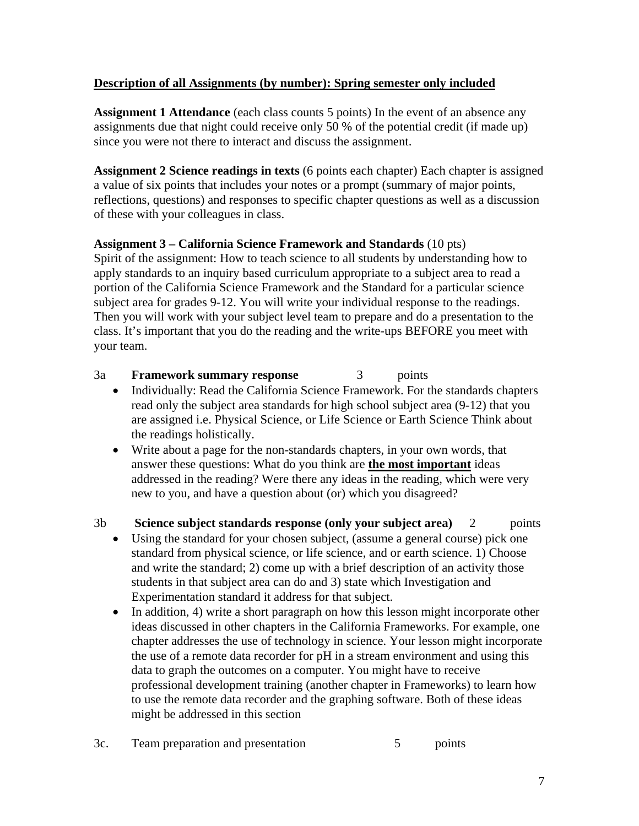# **Description of all Assignments (by number): Spring semester only included**

**Assignment 1 Attendance** (each class counts 5 points) In the event of an absence any assignments due that night could receive only 50 % of the potential credit (if made up) since you were not there to interact and discuss the assignment.

**Assignment 2 Science readings in texts** (6 points each chapter) Each chapter is assigned a value of six points that includes your notes or a prompt (summary of major points, reflections, questions) and responses to specific chapter questions as well as a discussion of these with your colleagues in class.

## **Assignment 3 – California Science Framework and Standards** (10 pts)

Spirit of the assignment: How to teach science to all students by understanding how to apply standards to an inquiry based curriculum appropriate to a subject area to read a portion of the California Science Framework and the Standard for a particular science subject area for grades 9-12. You will write your individual response to the readings. Then you will work with your subject level team to prepare and do a presentation to the class. It's important that you do the reading and the write-ups BEFORE you meet with your team.

## 3a **Framework summary response** 3 points

- Individually: Read the California Science Framework. For the standards chapters read only the subject area standards for high school subject area (9-12) that you are assigned i.e. Physical Science, or Life Science or Earth Science Think about the readings holistically.
- Write about a page for the non-standards chapters, in your own words, that answer these questions: What do you think are **the most important** ideas addressed in the reading? Were there any ideas in the reading, which were very new to you, and have a question about (or) which you disagreed?

## 3b **Science subject standards response (only your subject area)** 2 points

- Using the standard for your chosen subject, (assume a general course) pick one standard from physical science, or life science, and or earth science. 1) Choose and write the standard; 2) come up with a brief description of an activity those students in that subject area can do and 3) state which Investigation and Experimentation standard it address for that subject.
- In addition, 4) write a short paragraph on how this lesson might incorporate other ideas discussed in other chapters in the California Frameworks. For example, one chapter addresses the use of technology in science. Your lesson might incorporate the use of a remote data recorder for pH in a stream environment and using this data to graph the outcomes on a computer. You might have to receive professional development training (another chapter in Frameworks) to learn how to use the remote data recorder and the graphing software. Both of these ideas might be addressed in this section
- 3c. Team preparation and presentation 5 points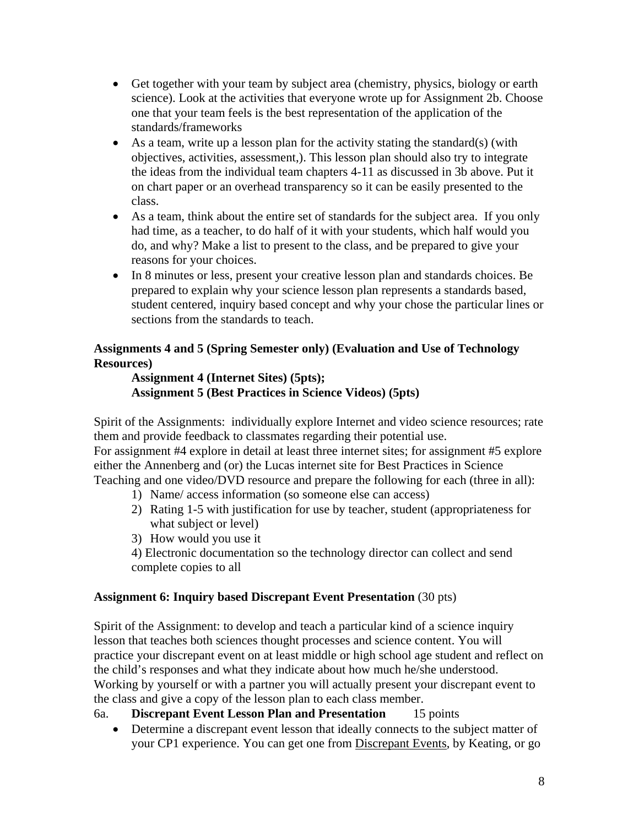- Get together with your team by subject area (chemistry, physics, biology or earth science). Look at the activities that everyone wrote up for Assignment 2b. Choose one that your team feels is the best representation of the application of the standards/frameworks
- As a team, write up a lesson plan for the activity stating the standard(s) (with objectives, activities, assessment,). This lesson plan should also try to integrate the ideas from the individual team chapters 4-11 as discussed in 3b above. Put it on chart paper or an overhead transparency so it can be easily presented to the class.
- As a team, think about the entire set of standards for the subject area. If you only had time, as a teacher, to do half of it with your students, which half would you do, and why? Make a list to present to the class, and be prepared to give your reasons for your choices.
- In 8 minutes or less, present your creative lesson plan and standards choices. Be prepared to explain why your science lesson plan represents a standards based, student centered, inquiry based concept and why your chose the particular lines or sections from the standards to teach.

# **Assignments 4 and 5 (Spring Semester only) (Evaluation and Use of Technology Resources)**

## **Assignment 4 (Internet Sites) (5pts); Assignment 5 (Best Practices in Science Videos) (5pts)**

Spirit of the Assignments: individually explore Internet and video science resources; rate them and provide feedback to classmates regarding their potential use. For assignment #4 explore in detail at least three internet sites; for assignment #5 explore either the Annenberg and (or) the Lucas internet site for Best Practices in Science

Teaching and one video/DVD resource and prepare the following for each (three in all): 1) Name/ access information (so someone else can access)

- 2) Rating 1-5 with justification for use by teacher, student (appropriateness for what subject or level)
- 3) How would you use it

4) Electronic documentation so the technology director can collect and send complete copies to all

# **Assignment 6: Inquiry based Discrepant Event Presentation** (30 pts)

Spirit of the Assignment: to develop and teach a particular kind of a science inquiry lesson that teaches both sciences thought processes and science content. You will practice your discrepant event on at least middle or high school age student and reflect on the child's responses and what they indicate about how much he/she understood. Working by yourself or with a partner you will actually present your discrepant event to the class and give a copy of the lesson plan to each class member.

# 6a. **Discrepant Event Lesson Plan and Presentation** 15 points

• Determine a discrepant event lesson that ideally connects to the subject matter of your CP1 experience. You can get one from Discrepant Events, by Keating, or go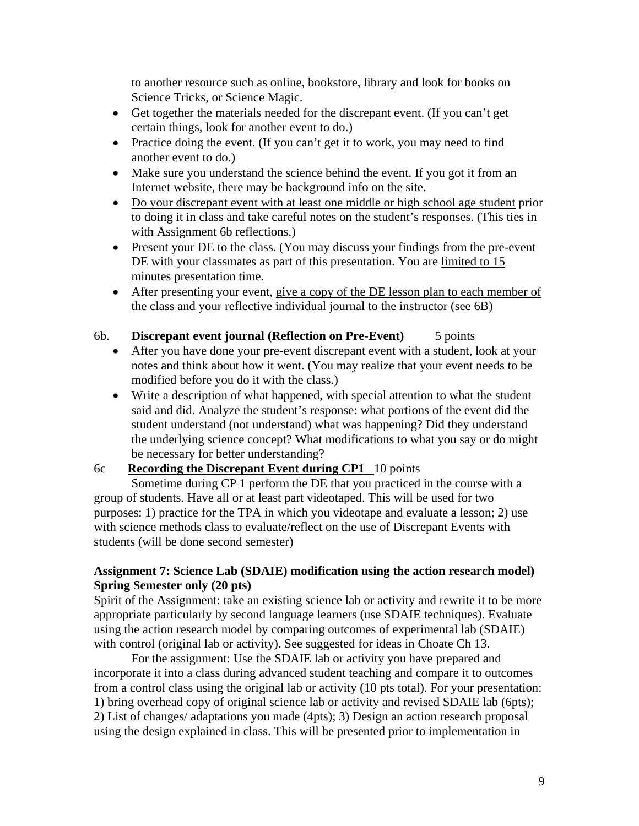to another resource such as online, bookstore, library and look for books on Science Tricks, or Science Magic.

- Get together the materials needed for the discrepant event. (If you can't get certain things, look for another event to do.)
- Practice doing the event. (If you can't get it to work, you may need to find another event to do.)
- Make sure you understand the science behind the event. If you got it from an Internet website, there may be background info on the site.
- Do your discrepant event with at least one middle or high school age student prior to doing it in class and take careful notes on the student's responses. (This ties in with Assignment 6b reflections.)
- Present your DE to the class. (You may discuss your findings from the pre-event DE with your classmates as part of this presentation. You are limited to 15 minutes presentation time.
- After presenting your event, give a copy of the DE lesson plan to each member of the class and your reflective individual journal to the instructor (see 6B)

## 6b. **Discrepant event journal (Reflection on Pre-Event)** 5 points

- After you have done your pre-event discrepant event with a student, look at your notes and think about how it went. (You may realize that your event needs to be modified before you do it with the class.)
- Write a description of what happened, with special attention to what the student said and did. Analyze the student's response: what portions of the event did the student understand (not understand) what was happening? Did they understand the underlying science concept? What modifications to what you say or do might be necessary for better understanding?

## 6c **Recording the Discrepant Event during CP1** 10 points

Sometime during CP 1 perform the DE that you practiced in the course with a group of students. Have all or at least part videotaped. This will be used for two purposes: 1) practice for the TPA in which you videotape and evaluate a lesson; 2) use with science methods class to evaluate/reflect on the use of Discrepant Events with students (will be done second semester)

## **Assignment 7: Science Lab (SDAIE) modification using the action research model) Spring Semester only (20 pts)**

Spirit of the Assignment: take an existing science lab or activity and rewrite it to be more appropriate particularly by second language learners (use SDAIE techniques). Evaluate using the action research model by comparing outcomes of experimental lab (SDAIE) with control (original lab or activity). See suggested for ideas in Choate Ch 13.

For the assignment: Use the SDAIE lab or activity you have prepared and incorporate it into a class during advanced student teaching and compare it to outcomes from a control class using the original lab or activity (10 pts total). For your presentation: 1) bring overhead copy of original science lab or activity and revised SDAIE lab (6pts); 2) List of changes/ adaptations you made (4pts); 3) Design an action research proposal using the design explained in class. This will be presented prior to implementation in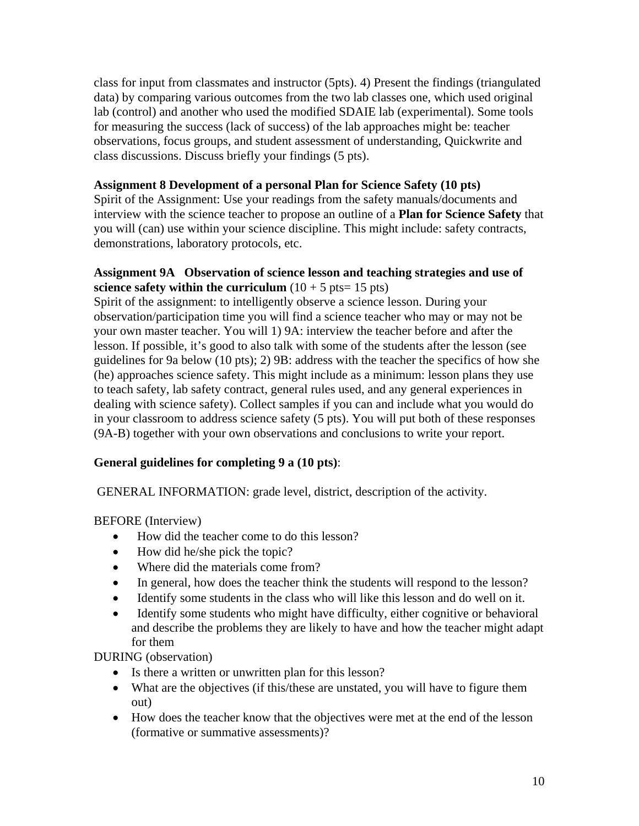class for input from classmates and instructor (5pts). 4) Present the findings (triangulated data) by comparing various outcomes from the two lab classes one, which used original lab (control) and another who used the modified SDAIE lab (experimental). Some tools for measuring the success (lack of success) of the lab approaches might be: teacher observations, focus groups, and student assessment of understanding, Quickwrite and class discussions. Discuss briefly your findings (5 pts).

## **Assignment 8 Development of a personal Plan for Science Safety (10 pts)**

Spirit of the Assignment: Use your readings from the safety manuals/documents and interview with the science teacher to propose an outline of a **Plan for Science Safety** that you will (can) use within your science discipline. This might include: safety contracts, demonstrations, laboratory protocols, etc.

## **Assignment 9A Observation of science lesson and teaching strategies and use of science safety within the curriculum**  $(10 + 5 \text{ pts} = 15 \text{ pts})$

Spirit of the assignment: to intelligently observe a science lesson. During your observation/participation time you will find a science teacher who may or may not be your own master teacher. You will 1) 9A: interview the teacher before and after the lesson. If possible, it's good to also talk with some of the students after the lesson (see guidelines for 9a below (10 pts); 2) 9B: address with the teacher the specifics of how she (he) approaches science safety. This might include as a minimum: lesson plans they use to teach safety, lab safety contract, general rules used, and any general experiences in dealing with science safety). Collect samples if you can and include what you would do in your classroom to address science safety (5 pts). You will put both of these responses (9A-B) together with your own observations and conclusions to write your report.

## **General guidelines for completing 9 a (10 pts)**:

GENERAL INFORMATION: grade level, district, description of the activity.

BEFORE (Interview)

- How did the teacher come to do this lesson?
- How did he/she pick the topic?
- Where did the materials come from?
- In general, how does the teacher think the students will respond to the lesson?
- Identify some students in the class who will like this lesson and do well on it.
- Identify some students who might have difficulty, either cognitive or behavioral and describe the problems they are likely to have and how the teacher might adapt for them

DURING (observation)

- Is there a written or unwritten plan for this lesson?
- What are the objectives (if this/these are unstated, you will have to figure them out)
- How does the teacher know that the objectives were met at the end of the lesson (formative or summative assessments)?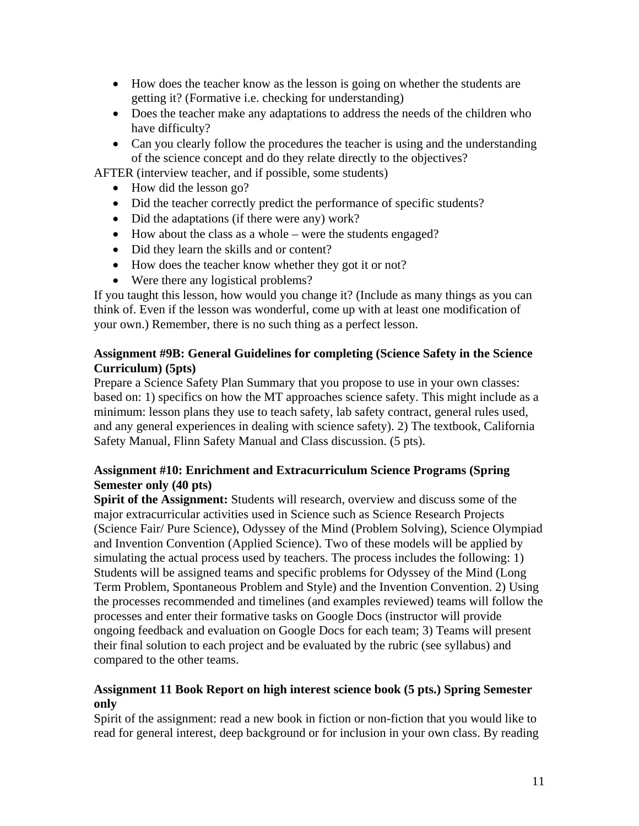- How does the teacher know as the lesson is going on whether the students are getting it? (Formative i.e. checking for understanding)
- Does the teacher make any adaptations to address the needs of the children who have difficulty?
- Can you clearly follow the procedures the teacher is using and the understanding of the science concept and do they relate directly to the objectives?

AFTER (interview teacher, and if possible, some students)

- How did the lesson go?
- Did the teacher correctly predict the performance of specific students?
- Did the adaptations (if there were any) work?
- How about the class as a whole were the students engaged?
- Did they learn the skills and or content?
- How does the teacher know whether they got it or not?
- Were there any logistical problems?

If you taught this lesson, how would you change it? (Include as many things as you can think of. Even if the lesson was wonderful, come up with at least one modification of your own.) Remember, there is no such thing as a perfect lesson.

## **Assignment #9B: General Guidelines for completing (Science Safety in the Science Curriculum) (5pts)**

Prepare a Science Safety Plan Summary that you propose to use in your own classes: based on: 1) specifics on how the MT approaches science safety. This might include as a minimum: lesson plans they use to teach safety, lab safety contract, general rules used, and any general experiences in dealing with science safety). 2) The textbook, California Safety Manual, Flinn Safety Manual and Class discussion. (5 pts).

# **Assignment #10: Enrichment and Extracurriculum Science Programs (Spring Semester only (40 pts)**

**Spirit of the Assignment:** Students will research, overview and discuss some of the major extracurricular activities used in Science such as Science Research Projects (Science Fair/ Pure Science), Odyssey of the Mind (Problem Solving), Science Olympiad and Invention Convention (Applied Science). Two of these models will be applied by simulating the actual process used by teachers. The process includes the following: 1) Students will be assigned teams and specific problems for Odyssey of the Mind (Long Term Problem, Spontaneous Problem and Style) and the Invention Convention. 2) Using the processes recommended and timelines (and examples reviewed) teams will follow the processes and enter their formative tasks on Google Docs (instructor will provide ongoing feedback and evaluation on Google Docs for each team; 3) Teams will present their final solution to each project and be evaluated by the rubric (see syllabus) and compared to the other teams.

## **Assignment 11 Book Report on high interest science book (5 pts.) Spring Semester only**

Spirit of the assignment: read a new book in fiction or non-fiction that you would like to read for general interest, deep background or for inclusion in your own class. By reading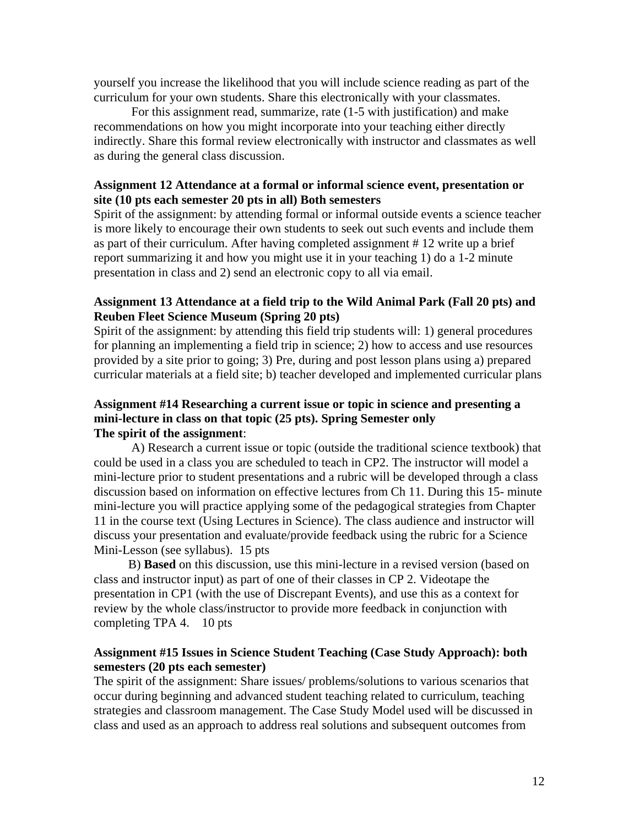yourself you increase the likelihood that you will include science reading as part of the curriculum for your own students. Share this electronically with your classmates.

For this assignment read, summarize, rate (1-5 with justification) and make recommendations on how you might incorporate into your teaching either directly indirectly. Share this formal review electronically with instructor and classmates as well as during the general class discussion.

#### **Assignment 12 Attendance at a formal or informal science event, presentation or site (10 pts each semester 20 pts in all) Both semesters**

Spirit of the assignment: by attending formal or informal outside events a science teacher is more likely to encourage their own students to seek out such events and include them as part of their curriculum. After having completed assignment # 12 write up a brief report summarizing it and how you might use it in your teaching 1) do a 1-2 minute presentation in class and 2) send an electronic copy to all via email.

#### **Assignment 13 Attendance at a field trip to the Wild Animal Park (Fall 20 pts) and Reuben Fleet Science Museum (Spring 20 pts)**

Spirit of the assignment: by attending this field trip students will: 1) general procedures for planning an implementing a field trip in science; 2) how to access and use resources provided by a site prior to going; 3) Pre, during and post lesson plans using a) prepared curricular materials at a field site; b) teacher developed and implemented curricular plans

### **Assignment #14 Researching a current issue or topic in science and presenting a mini-lecture in class on that topic (25 pts). Spring Semester only The spirit of the assignment**:

A) Research a current issue or topic (outside the traditional science textbook) that could be used in a class you are scheduled to teach in CP2. The instructor will model a mini-lecture prior to student presentations and a rubric will be developed through a class discussion based on information on effective lectures from Ch 11. During this 15- minute mini-lecture you will practice applying some of the pedagogical strategies from Chapter 11 in the course text (Using Lectures in Science). The class audience and instructor will discuss your presentation and evaluate/provide feedback using the rubric for a Science Mini-Lesson (see syllabus). 15 pts

 completing TPA 4. 10 pts B) **Based** on this discussion, use this mini-lecture in a revised version (based on class and instructor input) as part of one of their classes in CP 2. Videotape the presentation in CP1 (with the use of Discrepant Events), and use this as a context for review by the whole class/instructor to provide more feedback in conjunction with

## **Assignment #15 Issues in Science Student Teaching (Case Study Approach): both semesters (20 pts each semester)**

The spirit of the assignment: Share issues/ problems/solutions to various scenarios that occur during beginning and advanced student teaching related to curriculum, teaching strategies and classroom management. The Case Study Model used will be discussed in class and used as an approach to address real solutions and subsequent outcomes from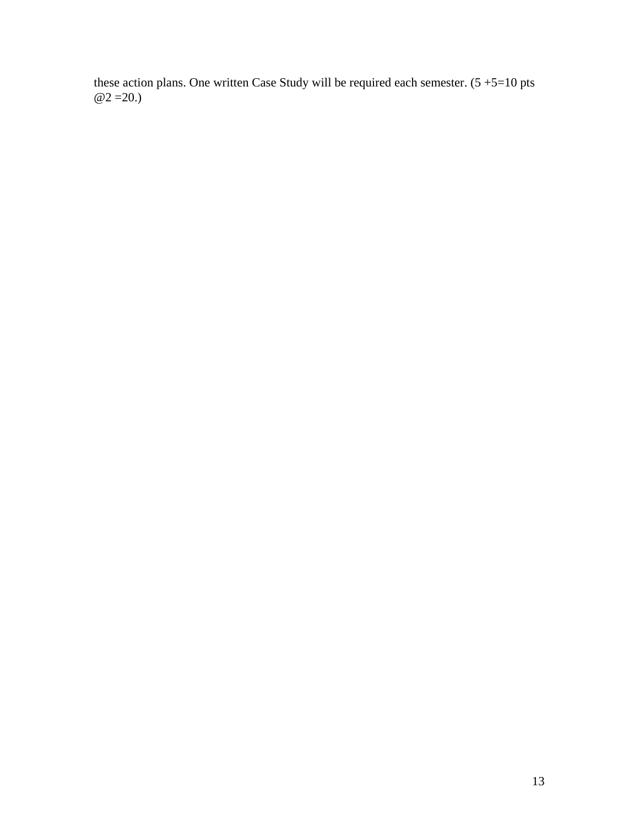these action plans. One written Case Study will be required each semester.  $(5 + 5 = 10)$  pts  $@2 = 20.$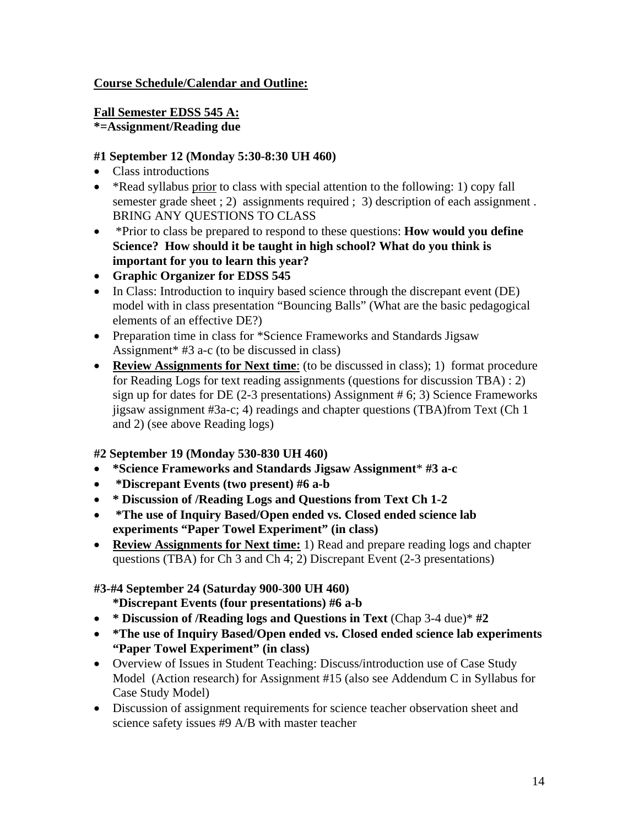# **Course Schedule/Calendar and Outline:**

## **Fall Semester EDSS 545 A:**

**\*=Assignment/Reading due** 

## **#1 September 12 (Monday 5:30-8:30 UH 460)**

- Class introductions
- \*Read syllabus prior to class with special attention to the following: 1) copy fall semester grade sheet ; 2) assignments required ; 3) description of each assignment . BRING ANY QUESTIONS TO CLASS
- \*Prior to class be prepared to respond to these questions: **How would you define Science? How should it be taught in high school? What do you think is important for you to learn this year?**
- **Graphic Organizer for EDSS 545**
- In Class: Introduction to inquiry based science through the discrepant event (DE) model with in class presentation "Bouncing Balls" (What are the basic pedagogical elements of an effective DE?)
- Preparation time in class for \*Science Frameworks and Standards Jigsaw Assignment\* #3 a-c (to be discussed in class)
- **Review Assignments for Next time**: (to be discussed in class); 1) format procedure for Reading Logs for text reading assignments (questions for discussion TBA) : 2) sign up for dates for DE (2-3 presentations) Assignment # 6; 3) Science Frameworks jigsaw assignment #3a-c; 4) readings and chapter questions (TBA)from Text (Ch 1 and 2) (see above Reading logs)

# **#2 September 19 (Monday 530-830 UH 460)**

- **\*Science Frameworks and Standards Jigsaw Assignment**\* **#3 a-c**
- **\*Discrepant Events (two present) #6 a-b**
- **\* Discussion of /Reading Logs and Questions from Text Ch 1-2**
- **\*The use of Inquiry Based/Open ended vs. Closed ended science lab experiments "Paper Towel Experiment" (in class)**
- **Review Assignments for Next time:** 1) Read and prepare reading logs and chapter questions (TBA) for Ch 3 and Ch 4; 2) Discrepant Event (2-3 presentations)

# **#3-#4 September 24 (Saturday 900-300 UH 460)**

**\*Discrepant Events (four presentations) #6 a-b** 

- **\* Discussion of /Reading logs and Questions in Text** (Chap 3-4 due)\* **#2**
- **\*The use of Inquiry Based/Open ended vs. Closed ended science lab experiments "Paper Towel Experiment" (in class)**
- Overview of Issues in Student Teaching: Discuss/introduction use of Case Study Model (Action research) for Assignment #15 (also see Addendum C in Syllabus for Case Study Model)
- Discussion of assignment requirements for science teacher observation sheet and science safety issues #9 A/B with master teacher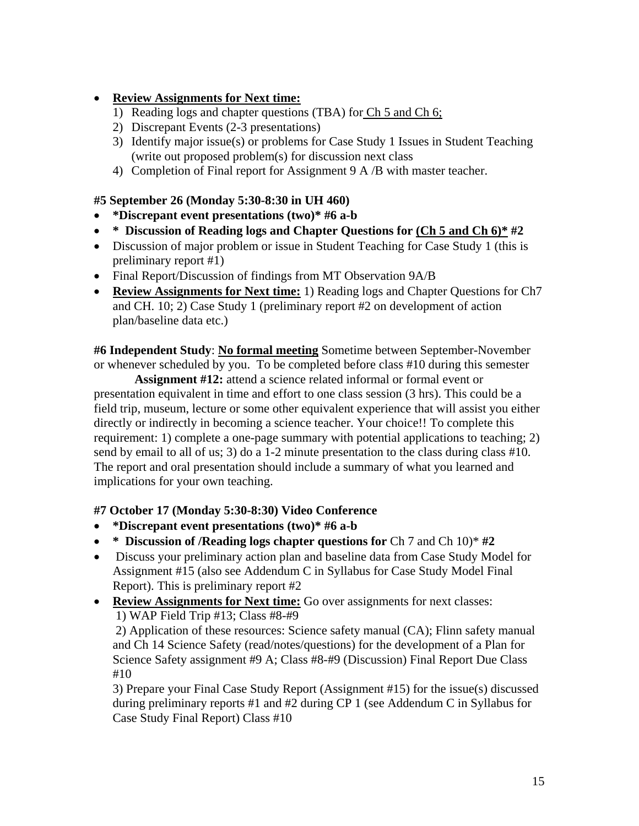# **Review Assignments for Next time:**

- 1) Reading logs and chapter questions (TBA) for Ch 5 and Ch 6;
- 2) Discrepant Events (2-3 presentations)
- 3) Identify major issue(s) or problems for Case Study 1 Issues in Student Teaching (write out proposed problem(s) for discussion next class
- 4) Completion of Final report for Assignment 9 A /B with master teacher.

# **#5 September 26 (Monday 5:30-8:30 in UH 460)**

- **\*Discrepant event presentations (two)\* #6 a-b**
- **\* Discussion of Reading logs and Chapter Questions for (Ch 5 and Ch 6)\* #2**
- Discussion of major problem or issue in Student Teaching for Case Study 1 (this is preliminary report #1)
- Final Report/Discussion of findings from MT Observation 9A/B
- **Review Assignments for Next time:** 1) Reading logs and Chapter Questions for Ch7 and CH. 10; 2) Case Study 1 (preliminary report #2 on development of action plan/baseline data etc.)

**#6 Independent Study**: **No formal meeting** Sometime between September-November or whenever scheduled by you. To be completed before class #10 during this semester

**Assignment #12:** attend a science related informal or formal event or presentation equivalent in time and effort to one class session (3 hrs). This could be a field trip, museum, lecture or some other equivalent experience that will assist you either directly or indirectly in becoming a science teacher. Your choice!! To complete this requirement: 1) complete a one-page summary with potential applications to teaching; 2) send by email to all of us; 3) do a 1-2 minute presentation to the class during class #10. The report and oral presentation should include a summary of what you learned and implications for your own teaching.

## **#7 October 17 (Monday 5:30-8:30) Video Conference**

- **\*Discrepant event presentations (two)\* #6 a-b**
- \* Discussion of /Reading logs chapter questions for Ch 7 and Ch 10)\*  $\#2$
- Discuss your preliminary action plan and baseline data from Case Study Model for Assignment #15 (also see Addendum C in Syllabus for Case Study Model Final Report). This is preliminary report #2
- **Review Assignments for Next time:** Go over assignments for next classes: 1) WAP Field Trip #13; Class #8-#9

 2) Application of these resources: Science safety manual (CA); Flinn safety manual and Ch 14 Science Safety (read/notes/questions) for the development of a Plan for Science Safety assignment #9 A; Class #8-#9 (Discussion) Final Report Due Class #10

3) Prepare your Final Case Study Report (Assignment #15) for the issue(s) discussed during preliminary reports #1 and #2 during CP 1 (see Addendum C in Syllabus for Case Study Final Report) Class #10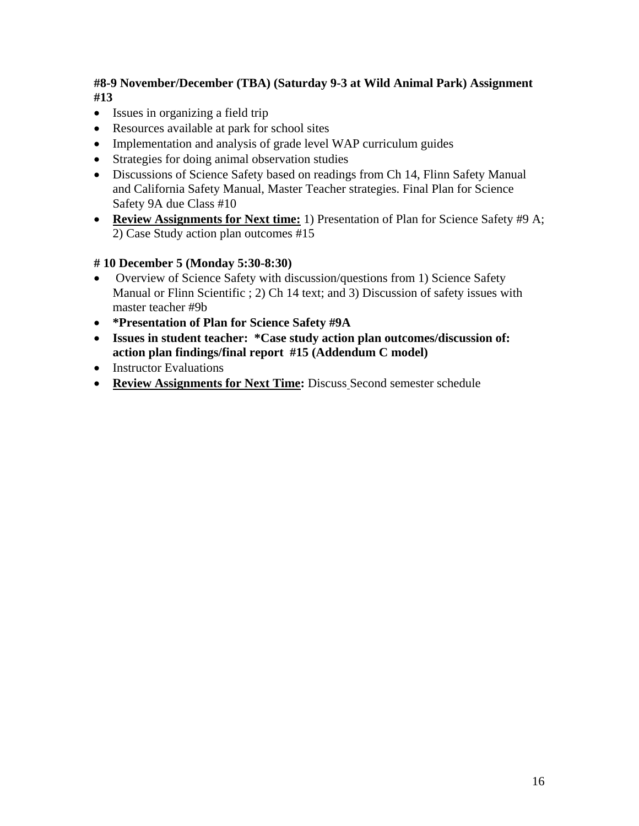# **#8-9 November/December (TBA) (Saturday 9-3 at Wild Animal Park) Assignment #13**

- Issues in organizing a field trip
- Resources available at park for school sites
- Implementation and analysis of grade level WAP curriculum guides
- Strategies for doing animal observation studies
- Discussions of Science Safety based on readings from Ch 14, Flinn Safety Manual and California Safety Manual, Master Teacher strategies. Final Plan for Science Safety 9A due Class #10
- **Review Assignments for Next time:** 1) Presentation of Plan for Science Safety #9 A; 2) Case Study action plan outcomes #15

## **# 10 December 5 (Monday 5:30-8:30)**

- Overview of Science Safety with discussion/questions from 1) Science Safety Manual or Flinn Scientific ; 2) Ch 14 text; and 3) Discussion of safety issues with master teacher #9b
- **\*Presentation of Plan for Science Safety #9A**
- **Issues in student teacher: \*Case study action plan outcomes/discussion of: action plan findings/final report #15 (Addendum C model)**
- Instructor Evaluations
- **Review Assignments for Next Time:** Discuss Second semester schedule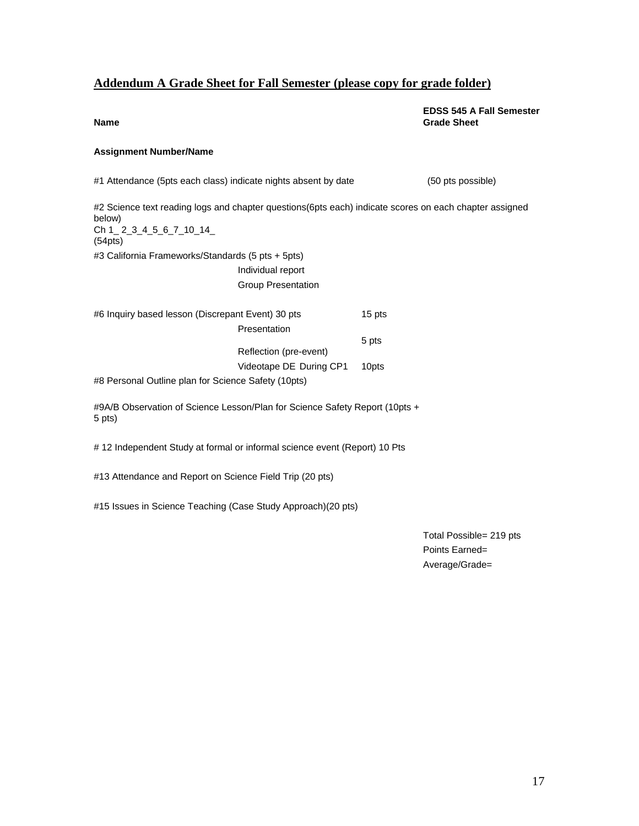# **Addendum A Grade Sheet for Fall Semester (please copy for grade folder)**

#### **EDSS 545 A Fall Semester Name** Grade Sheet

#### **Assignment Number/Name**

| #1 Attendance (5pts each class) indicate nights absent by date                                                                                                        | (50 pts possible) |
|-----------------------------------------------------------------------------------------------------------------------------------------------------------------------|-------------------|
| #2 Science text reading logs and chapter questions(6pts each) indicate scores on each chapter assigned<br>below)<br>Ch 1 $2$ $3$ $4$ $5$ $6$ $7$ $10$ $14$<br>(54pts) |                   |
| #3 California Frameworks/Standards (5 pts + 5pts)                                                                                                                     |                   |
| Individual report                                                                                                                                                     |                   |
| <b>Group Presentation</b>                                                                                                                                             |                   |
| #6 Inquiry based lesson (Discrepant Event) 30 pts<br>Presentation                                                                                                     | 15 pts            |
| Reflection (pre-event)                                                                                                                                                | 5 pts             |
| Videotape DE During CP1                                                                                                                                               | 10 <sub>pts</sub> |
| #8 Personal Outline plan for Science Safety (10pts)                                                                                                                   |                   |
| #9A/B Observation of Science Lesson/Plan for Science Safety Report (10pts +<br>5 pts)                                                                                 |                   |
| #12 Independent Study at formal or informal science event (Report) 10 Pts                                                                                             |                   |
| #13 Attendance and Report on Science Field Trip (20 pts)                                                                                                              |                   |

#15 Issues in Science Teaching (Case Study Approach)(20 pts)

Total Possible= 219 pts Points Earned= Average/Grade=